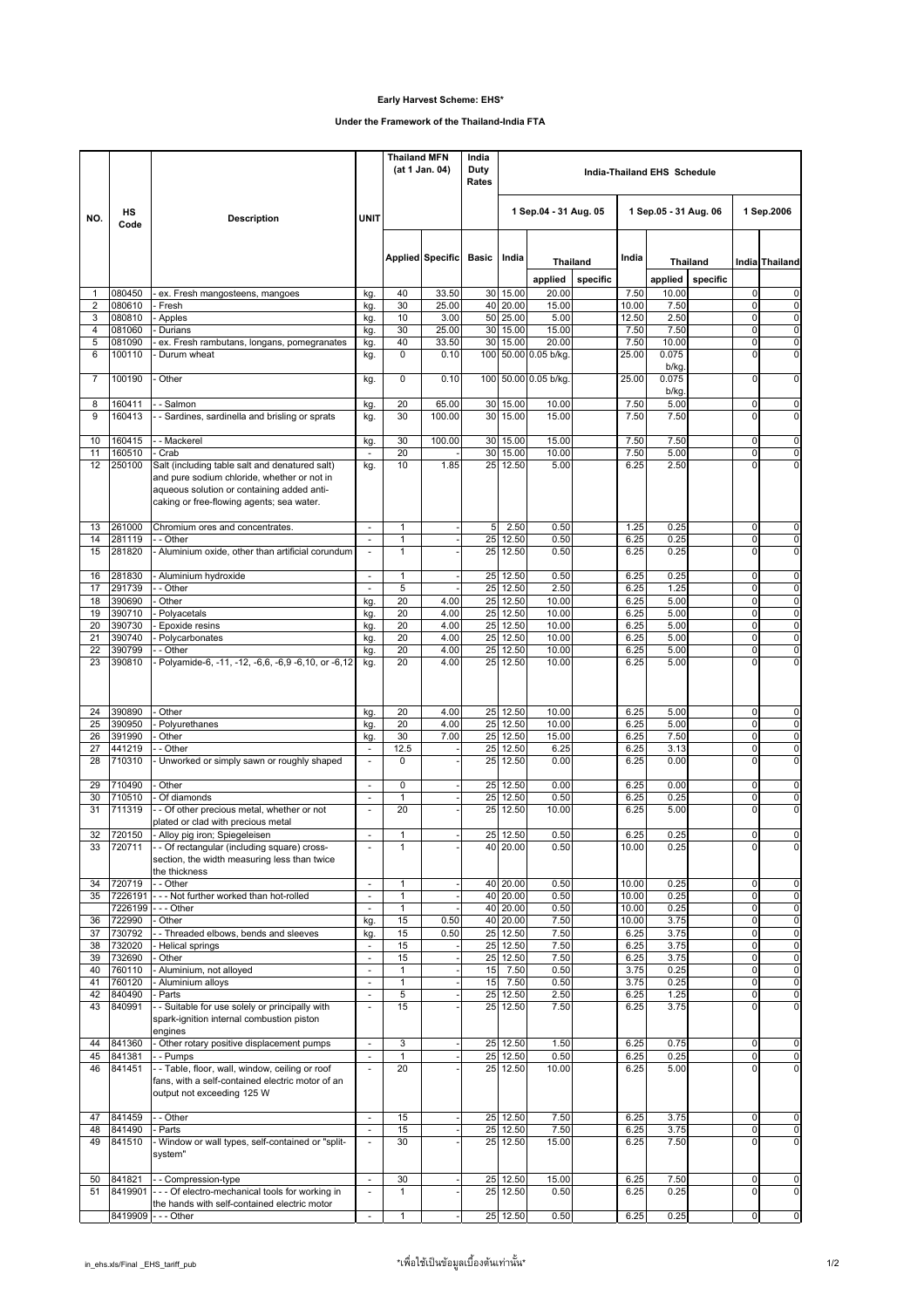## **Early Harvest Scheme: EHS\***

## **Under the Framework of the Thailand-India FTA**

|                     | HS<br>Code        | <b>Description</b>                                                                                                                     |                                                      | <b>Thailand MFN</b><br>(at 1 Jan. 04) |                         | India<br>Duty<br>Rates | India-Thailand EHS Schedule |                  |                             |                       |                |                             |                            |                                                    |
|---------------------|-------------------|----------------------------------------------------------------------------------------------------------------------------------------|------------------------------------------------------|---------------------------------------|-------------------------|------------------------|-----------------------------|------------------|-----------------------------|-----------------------|----------------|-----------------------------|----------------------------|----------------------------------------------------|
| NO.                 |                   |                                                                                                                                        | <b>UNIT</b>                                          |                                       |                         |                        | 1 Sep.04 - 31 Aug. 05       |                  |                             | 1 Sep.05 - 31 Aug. 06 |                |                             | 1 Sep.2006                 |                                                    |
|                     |                   |                                                                                                                                        |                                                      |                                       | <b>Applied Specific</b> | <b>Basic</b>           | India                       |                  |                             | India                 |                |                             |                            |                                                    |
|                     |                   |                                                                                                                                        |                                                      |                                       |                         |                        |                             | applied          | <b>Thailand</b><br>specific |                       | applied        | <b>Thailand</b><br>specific |                            | India Thailand                                     |
| 1                   | 080450            | ex. Fresh mangosteens, mangoes                                                                                                         | kg.                                                  | 40                                    | 33.50                   |                        | 30 15.00                    | 20.00            |                             | 7.50                  | 10.00          |                             | $\mathbf 0$                | 0                                                  |
| 2                   | 080610            | - Fresh                                                                                                                                | kg.                                                  | 30                                    | 25.00                   |                        | 40 20.00                    | 15.00            |                             | 10.00                 | 7.50           |                             | $\mathbf 0$                | 0                                                  |
| 3<br>$\overline{4}$ | 080810<br>081060  | - Apples<br>Durians                                                                                                                    | kg.<br>kg.                                           | 10<br>30                              | 3.00<br>25.00           |                        | 50 25.00<br>30 15.00        | 5.00<br>15.00    |                             | 12.50<br>7.50         | 2.50<br>7.50   |                             | $\mathbf 0$<br>$\mathbf 0$ | $\overline{\mathbf{0}}$<br>$\pmb{0}$               |
| 5                   | 081090            | ex. Fresh rambutans, longans, pomegranates                                                                                             | kg.                                                  | 40                                    | 33.50                   | 30                     | 15.00                       | 20.00            |                             | 7.50                  | 10.00          |                             | $\mathbf 0$                | $\pmb{0}$                                          |
| 6                   | 100110            | Durum wheat                                                                                                                            | kg.                                                  | $\mathbf 0$                           | 0.10                    | 100                    |                             | 50.00 0.05 b/kg. |                             | 25.00                 | 0.075<br>b/kg. |                             | $\mathbf 0$                | $\mathbf 0$                                        |
| $\overline{7}$      | 100190            | Other                                                                                                                                  | kg.                                                  | $\mathbf 0$                           | 0.10                    | 100                    |                             | 50.00 0.05 b/kg  |                             | 25.00                 | 0.075<br>b/kg. |                             | $\Omega$                   | 0                                                  |
| 8<br>9              | 160411<br>160413  | - Salmon<br>- - Sardines, sardinella and brisling or sprats                                                                            | kg.<br>kg.                                           | 20<br>30                              | 65.00<br>100.00         | 30<br>30               | 15.00<br>15.00              | 10.00<br>15.00   |                             | 7.50<br>7.50          | 5.00<br>7.50   |                             | $\mathbf 0$<br>$\Omega$    | $\pmb{0}$<br>$\mathbf 0$                           |
|                     |                   |                                                                                                                                        |                                                      |                                       |                         |                        |                             |                  |                             |                       |                |                             |                            |                                                    |
| 10                  | 160415            | -- Mackerel                                                                                                                            | kg.                                                  | 30                                    | 100.00                  |                        | 30 15.00                    | 15.00            |                             | 7.50                  | 7.50           |                             | $\mathbf 0$                | $\pmb{0}$                                          |
| 11<br>12            | 160510<br>250100  | - Crab<br>Salt (including table salt and denatured salt)                                                                               | ÷.<br>kg.                                            | 20<br>10                              | 1.85                    | 30<br>25               | 15.00<br>12.50              | 10.00<br>5.00    |                             | 7.50<br>6.25          | 5.00<br>2.50   |                             | $\mathbf 0$<br>$\Omega$    | $\overline{\mathbf{0}}$<br>$\mathbf 0$             |
|                     |                   | and pure sodium chloride, whether or not in<br>aqueous solution or containing added anti-<br>caking or free-flowing agents; sea water. |                                                      |                                       |                         |                        |                             |                  |                             |                       |                |                             |                            |                                                    |
| 13<br>14            | 261000<br>281119  | Chromium ores and concentrates.<br>- - Other                                                                                           | $\overline{\phantom{a}}$                             | $\mathbf{1}$<br>$\mathbf{1}$          |                         | 5<br>25                | 2.50<br>12.50               | 0.50<br>0.50     |                             | 1.25<br>6.25          | 0.25<br>0.25   |                             | $\mathbf 0$<br>$\mathbf 0$ | 0<br>$\pmb{0}$                                     |
| 15                  | 281820            | - Aluminium oxide, other than artificial corundum                                                                                      | $\overline{\phantom{a}}$                             | $\mathbf{1}$                          |                         | 25 <sub>1</sub>        | 12.50                       | 0.50             |                             | 6.25                  | 0.25           |                             | $\Omega$                   | $\overline{0}$                                     |
| 16                  | 281830            | Aluminium hydroxide                                                                                                                    | $\blacksquare$                                       | $\mathbf{1}$                          |                         | 25                     | 12.50                       | 0.50             |                             | 6.25                  | 0.25           |                             | $\mathbf 0$                | $\pmb{0}$                                          |
| 17                  | 291739            | - Other                                                                                                                                | $\bar{\phantom{a}}$                                  | 5                                     |                         | 25                     | 12.50                       | 2.50             |                             | 6.25                  | 1.25           |                             | $\mathbf 0$                | $\overline{\mathbf{0}}$                            |
| 18<br>19            | 390690<br>390710  | Other<br>Polyacetals                                                                                                                   | kg.<br>kg.                                           | 20<br>20                              | 4.00<br>4.00            | 25<br>25               | 12.50<br>12.50              | 10.00<br>10.00   |                             | 6.25<br>6.25          | 5.00<br>5.00   |                             | $\mathbf 0$<br>$\mathbf 0$ | $\mathbf 0$<br>0                                   |
| 20                  | 390730            | Epoxide resins                                                                                                                         | kg.                                                  | 20                                    | 4.00                    | 25                     | 12.50                       | 10.00            |                             | 6.25                  | 5.00           |                             | $\mathbf 0$                | $\overline{\mathbf{0}}$                            |
| 21                  | 390740            | Polycarbonates                                                                                                                         | kg.                                                  | 20                                    | 4.00                    | 25                     | 12.50                       | 10.00            |                             | 6.25                  | 5.00           |                             | $\mathbf 0$                | $\overline{\mathbf{0}}$                            |
| 22<br>23            | 390799<br>390810  | - Other<br>- Polyamide-6, -11, -12, -6,6, -6,9 -6,10, or -6,12                                                                         | kg.<br>kg.                                           | 20<br>20                              | 4.00<br>4.00            | 25<br>25               | 12.50<br>12.50              | 10.00<br>10.00   |                             | 6.25<br>6.25          | 5.00<br>5.00   |                             | $\mathbf 0$<br>$\Omega$    | $\overline{0}$<br>$\overline{0}$                   |
| 24                  | 390890            | Other                                                                                                                                  | kg.                                                  | 20                                    | 4.00                    | 25                     | 12.50                       | 10.00            |                             | 6.25                  | 5.00           |                             | $\mathbf 0$                | 0                                                  |
| 25                  | 390950            | Polyurethanes                                                                                                                          | kg.                                                  | 20                                    | 4.00                    | 25                     | 12.50                       | 10.00            |                             | 6.25                  | 5.00           |                             | $\mathbf 0$                | $\pmb{0}$                                          |
| 26<br>27            | 391990<br>441219  | Other<br>- - Other                                                                                                                     | kg.<br>$\overline{\phantom{a}}$                      | 30<br>12.5                            | 7.00                    | 25<br>25               | 12.50<br>12.50              | 15.00<br>6.25    |                             | 6.25<br>6.25          | 7.50<br>3.13   |                             | $\mathbf 0$<br>$\mathbf 0$ | $\overline{\mathbf{0}}$<br>$\overline{\mathbf{0}}$ |
| 28                  | 710310            | - Unworked or simply sawn or roughly shaped                                                                                            | ä,                                                   | $\Omega$                              |                         | 25                     | 12.50                       | 0.00             |                             | 6.25                  | 0.00           |                             | $\overline{0}$             | $\overline{0}$                                     |
| 29                  | 710490            | Other                                                                                                                                  | $\overline{\phantom{a}}$                             | $\mathbf 0$                           |                         |                        | 25 12.50                    | 0.00             |                             | 6.25                  | 0.00           |                             | $\mathbf 0$                | $\pmb{0}$                                          |
| 30<br>31            | 710510<br>711319  | Of diamonds<br>- - Of other precious metal, whether or not                                                                             | $\overline{\phantom{a}}$<br>ä,                       | $\mathbf{1}$<br>20                    |                         | 25<br>25               | 12.50<br>12.50              | 0.50<br>10.00    |                             | 6.25<br>6.25          | 0.25<br>5.00   |                             | $\mathbf 0$<br>$\Omega$    | $\pmb{0}$<br>0                                     |
|                     |                   | plated or clad with precious metal                                                                                                     |                                                      |                                       |                         |                        |                             |                  |                             |                       |                |                             |                            |                                                    |
| 32                  | 720150            | - Alloy pig iron; Spiegeleisen                                                                                                         | ÷,                                                   | 1                                     |                         |                        | 25 12.50                    | 0.50             |                             | 6.25                  | 0.25           |                             | $\mathbf 0$                | 0                                                  |
|                     | 720711            | - - Of rectangular (including square) cross-<br>section, the width measuring less than twice<br>the thickness                          |                                                      |                                       |                         |                        | 40 20.00                    | 0.50             |                             | 10.00                 | 0.25           |                             |                            | $\overline{ }$                                     |
| 34<br>35            | 720719<br>7226191 | - - Other<br>--- Not further worked than hot-rolled                                                                                    | $\overline{\phantom{a}}$<br>$\omega$                 | $\mathbf{1}$<br>$\mathbf{1}$          |                         |                        | 40 20.00<br>40 20.00        | 0.50<br>0.50     |                             | 10.00<br>10.00        | 0.25<br>0.25   |                             | $\mathbf 0$<br>$\mathbf 0$ | 0<br>0                                             |
|                     | 7226199           | --- Other                                                                                                                              | ¥,                                                   | $\mathbf{1}$                          |                         |                        | 40 20.00                    | 0.50             |                             | 10.00                 | 0.25           |                             | $\mathbf 0$                | $\pmb{0}$                                          |
| 36                  | 722990            | - Other                                                                                                                                | kg.                                                  | 15                                    | 0.50                    |                        | 40 20.00                    | 7.50             |                             | 10.00                 | 3.75           |                             | $\mathbf 0$                | 0                                                  |
| 37<br>38            | 730792<br>732020  | - Threaded elbows, bends and sleeves<br>- Helical springs                                                                              | kg.                                                  | 15<br>15                              | 0.50                    |                        | 25 12.50<br>25 12.50        | 7.50<br>7.50     |                             | 6.25<br>6.25          | 3.75<br>3.75   |                             | $\pmb{0}$<br>$\mathbf 0$   | $\overline{\mathbf{0}}$<br>$\overline{0}$          |
| 39                  | 732690            | Other                                                                                                                                  | $\overline{\phantom{a}}$<br>$\overline{\phantom{a}}$ | 15                                    |                         |                        | 25 12.50                    | 7.50             |                             | 6.25                  | 3.75           |                             | $\mathbf 0$                | $\pmb{0}$                                          |
| 40                  | 760110            | - Aluminium, not alloyed                                                                                                               | $\overline{\phantom{a}}$                             | $\mathbf{1}$                          |                         | 15                     | 7.50                        | 0.50             |                             | 3.75                  | 0.25           |                             | $\mathbf 0$                | $\overline{\mathbf{0}}$                            |
| 41<br>42            | 760120<br>840490  | - Aluminium alloys<br>- Parts                                                                                                          | $\Box$<br>$\blacksquare$                             | $\mathbf{1}$                          |                         | 15<br>25               | 7.50<br>12.50               | 0.50             |                             | 3.75<br>6.25          | 0.25           |                             | $\mathbf 0$<br>0           | $\pmb{0}$<br>0                                     |
| 43                  | 840991            | - - Suitable for use solely or principally with<br>spark-ignition internal combustion piston                                           | $\overline{\phantom{a}}$                             | 5<br>15                               |                         | 25                     | 12.50                       | 2.50<br>7.50     |                             | 6.25                  | 1.25<br>3.75   |                             | $\mathbf 0$                | 0                                                  |
| 44                  | 841360            | engines<br>- Other rotary positive displacement pumps                                                                                  | $\overline{\phantom{a}}$                             | 3                                     |                         |                        | 25 12.50                    | 1.50             |                             | 6.25                  | 0.75           |                             | $\pmb{0}$                  | 0                                                  |
| 45                  | 841381            | -- Pumps                                                                                                                               | $\overline{\phantom{a}}$                             | $\mathbf{1}$                          |                         |                        | 25 12.50                    | 0.50             |                             | 6.25                  | 0.25           |                             | $\mathbf 0$                | $\overline{\mathbf{0}}$                            |
| 46                  | 841451            | -- Table, floor, wall, window, ceiling or roof<br>fans, with a self-contained electric motor of an<br>output not exceeding 125 W       | ä,                                                   | 20                                    |                         |                        | 25 12.50                    | 10.00            |                             | 6.25                  | 5.00           |                             | $\Omega$                   | $\pmb{0}$                                          |
| 47                  | 841459            | - - Other                                                                                                                              | ¥,                                                   | 15                                    |                         |                        | 25 12.50                    | 7.50             |                             | 6.25                  | 3.75           |                             | 0                          | 0                                                  |
| 48<br>49            | 841490<br>841510  | - Parts<br>- Window or wall types, self-contained or "split-                                                                           | $\overline{\phantom{a}}$<br>$\overline{\phantom{a}}$ | 15<br>30                              |                         |                        | 25 12.50<br>25 12.50        | 7.50<br>15.00    |                             | 6.25<br>6.25          | 3.75<br>7.50   |                             | 0<br>$\mathbf 0$           | 0<br>$\overline{0}$                                |
|                     |                   | system"                                                                                                                                |                                                      |                                       |                         |                        |                             |                  |                             |                       |                |                             |                            |                                                    |
| 50                  | 841821            | -- Compression-type                                                                                                                    | $\overline{\phantom{a}}$                             | 30                                    |                         |                        | 25 12.50                    | 15.00            |                             | 6.25                  | 7.50           |                             | 0                          | 0                                                  |
| 51                  | 8419901           | --- Of electro-mechanical tools for working in                                                                                         | $\overline{\phantom{a}}$                             | $\mathbf{1}$                          |                         |                        | 25 12.50                    | 0.50             |                             | 6.25                  | 0.25           |                             | $\mathbf 0$                | 0                                                  |
|                     | 8419909           | the hands with self-contained electric motor<br>--- Other                                                                              | $\overline{\phantom{a}}$                             | $\mathbf{1}$                          |                         |                        | 25 12.50                    | 0.50             |                             | 6.25                  | 0.25           |                             | $\mathbf 0$                | $\pmb{0}$                                          |